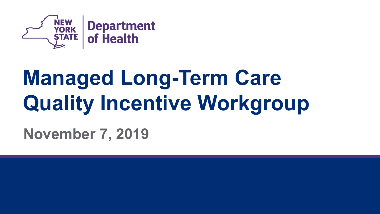

# **Managed Long-Term Care Quality Incentive Workgroup**

**November 7, 2019**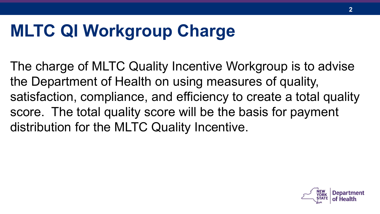### **MLTC QI Workgroup Charge**

The charge of MLTC Quality Incentive Workgroup is to advise the Department of Health on using measures of quality, satisfaction, compliance, and efficiency to create a total quality score. The total quality score will be the basis for payment distribution for the MLTC Quality Incentive.

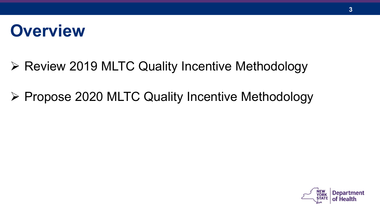### **Overview**

- ▶ Review 2019 MLTC Quality Incentive Methodology
- ▶ Propose 2020 MLTC Quality Incentive Methodology

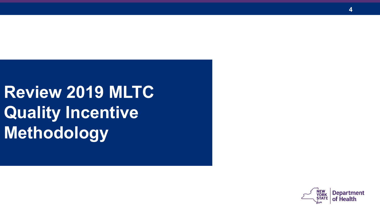**Review 2019 MLTC Quality Incentive Methodology**

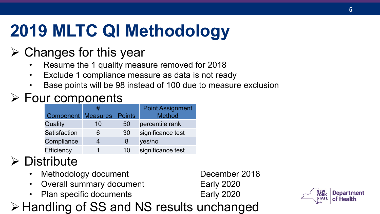# **2019 MLTC QI Methodology**

#### $\triangleright$  Changes for this year

- Resume the 1 quality measure removed for 2018
- Exclude 1 compliance measure as data is not ready
- Base points will be 98 instead of 100 due to measure exclusion

#### $\triangleright$  Four components

|                                  |    |    | <b>Point Assignment</b> |
|----------------------------------|----|----|-------------------------|
| <b>Component Measures Points</b> |    |    | <b>Method</b>           |
| Quality                          | 10 | 50 | percentile rank         |
| Satisfaction                     | 6  | 30 | significance test       |
| Compliance                       |    | 8  | yes/no                  |
| Efficiency                       |    | 10 | significance test       |

#### **Distribute**

- **Methodology document** December 2018
- Overall summary document Early 2020
- Plan specific documents Early 2020



#### Handling of SS and NS results unchanged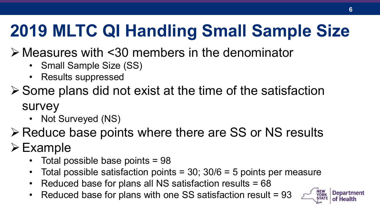# **2019 MLTC QI Handling Small Sample Size**

- Measures with <30 members in the denominator
	- Small Sample Size (SS)
	- Results suppressed
- $\triangleright$  Some plans did not exist at the time of the satisfaction survey
	- Not Surveyed (NS)
- **Example 25 Preduce base points where there are SS or NS results**

### $\triangleright$  Example

- Total possible base points = 98
- Total possible satisfaction points =  $30$ ;  $30/6 = 5$  points per measure
- Reduced base for plans all NS satisfaction results = 68
- Reduced base for plans with one SS satisfaction result = 93

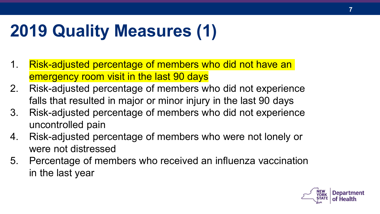# **2019 Quality Measures (1)**

- 1. Risk-adjusted percentage of members who did not have an emergency room visit in the last 90 days
- 2. Risk-adjusted percentage of members who did not experience falls that resulted in major or minor injury in the last 90 days
- 3. Risk-adjusted percentage of members who did not experience uncontrolled pain
- 4. Risk-adjusted percentage of members who were not lonely or were not distressed
- 5. Percentage of members who received an influenza vaccination in the last year

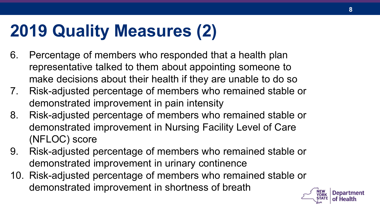# **2019 Quality Measures (2)**

- 6. Percentage of members who responded that a health plan representative talked to them about appointing someone to make decisions about their health if they are unable to do so
- 7. Risk-adjusted percentage of members who remained stable or demonstrated improvement in pain intensity
- 8. Risk-adjusted percentage of members who remained stable or demonstrated improvement in Nursing Facility Level of Care (NFLOC) score
- 9. Risk-adjusted percentage of members who remained stable or demonstrated improvement in urinary continence
- 10. Risk-adjusted percentage of members who remained stable or demonstrated improvement in shortness of breath

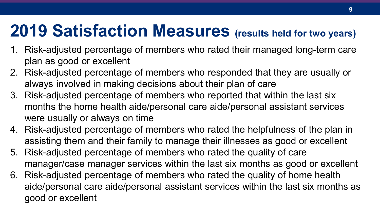### **2019 Satisfaction Measures (results held for two years)**

- 1. Risk-adjusted percentage of members who rated their managed long-term care plan as good or excellent
- 2. Risk-adjusted percentage of members who responded that they are usually or always involved in making decisions about their plan of care
- 3. Risk-adjusted percentage of members who reported that within the last six months the home health aide/personal care aide/personal assistant services were usually or always on time
- 4. Risk-adjusted percentage of members who rated the helpfulness of the plan in assisting them and their family to manage their illnesses as good or excellent
- 5. Risk-adjusted percentage of members who rated the quality of care manager/case manager services within the last six months as good or excellent
- 6. Risk-adjusted percentage of members who rated the quality of home health aide/personal care aide/personal assistant services within the last six months as good or excellent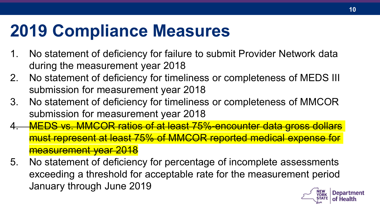### **2019 Compliance Measures**

- 1. No statement of deficiency for failure to submit Provider Network data during the measurement year 2018
- 2. No statement of deficiency for timeliness or completeness of MEDS III submission for measurement year 2018
- 3. No statement of deficiency for timeliness or completeness of MMCOR submission for measurement year 2018
- MEDS vs. MMCOR ratios of at least 75%-encounter data gross dollars must represent at least 75% of MMCOR reported medical expense for measurement year 2018
- 5. No statement of deficiency for percentage of incomplete assessments exceeding a threshold for acceptable rate for the measurement period January through June 2019

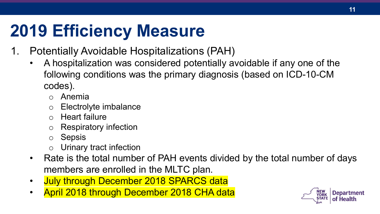### **2019 Efficiency Measure**

- 1. Potentially Avoidable Hospitalizations (PAH)
	- A hospitalization was considered potentially avoidable if any one of the following conditions was the primary diagnosis (based on ICD-10-CM codes).
		- o Anemia
		- o Electrolyte imbalance
		- o Heart failure
		- o Respiratory infection
		- o Sepsis
		- o Urinary tract infection
	- Rate is the total number of PAH events divided by the total number of days members are enrolled in the MLTC plan.
	- July through December 2018 SPARCS data
	- April 2018 through December 2018 CHA data

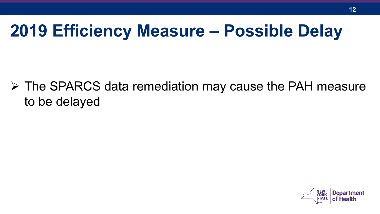### **2019 Efficiency Measure – Possible Delay**

 The SPARCS data remediation may cause the PAH measure to be delayed

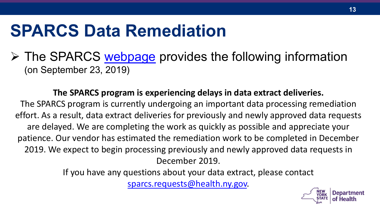### **SPARCS Data Remediation**

 $\triangleright$  The SPARCS [webpage](https://www.health.ny.gov/statistics/sparcs/access/) provides the following information (on September 23, 2019)

**The SPARCS program is experiencing delays in data extract deliveries.** The SPARCS program is currently undergoing an important data processing remediation effort. As a result, data extract deliveries for previously and newly approved data requests are delayed. We are completing the work as quickly as possible and appreciate your patience. Our vendor has estimated the remediation work to be completed in December 2019. We expect to begin processing previously and newly approved data requests in December 2019.

> If you have any questions about your data extract, please contact [sparcs.requests@health.ny.gov.](mailto:sparcs.requests@health.ny.gov)

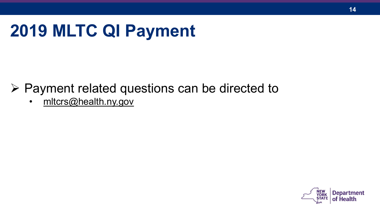# **2019 MLTC QI Payment**

- $\triangleright$  Payment related questions can be directed to
	- [mltcrs@health.ny.gov](mailto:mltcrs@health.ny.gov)

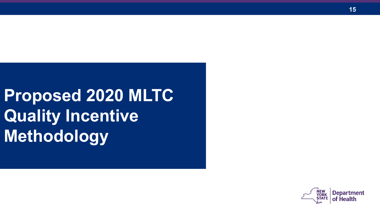**Proposed 2020 MLTC Quality Incentive Methodology**

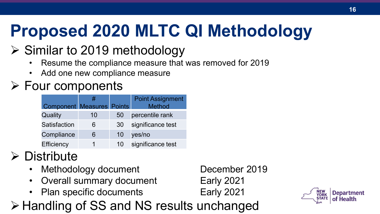# **Proposed 2020 MLTC QI Methodology**

#### $\triangleright$  Similar to 2019 methodology

- Resume the compliance measure that was removed for 2019
- Add one new compliance measure

#### $\triangleright$  Four components

|                                  | #  |    | <b>Point Assignment</b> |
|----------------------------------|----|----|-------------------------|
| <b>Component Measures Points</b> |    |    | <b>Method</b>           |
| Quality                          | 10 | 50 | percentile rank         |
| Satisfaction                     | 6  | 30 | significance test       |
| Compliance                       | 6  | 10 | yes/no                  |
| Efficiency                       |    | 10 | significance test       |

#### $\triangleright$  Distribute

- Methodology document December 2019
- Overall summary document Early 2021
- Plan specific documents Early 2021

**≻ Handling of SS and NS results unchanged** 

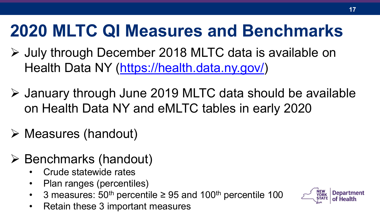### **2020 MLTC QI Measures and Benchmarks**

- July through December 2018 MLTC data is available on Health Data NY [\(https://health.data.ny.gov/\)](https://health.data.ny.gov/)
- January through June 2019 MLTC data should be available on Health Data NY and eMLTC tables in early 2020
- $\triangleright$  Measures (handout)
- $\triangleright$  Benchmarks (handout)
	- Crude statewide rates
	- Plan ranges (percentiles)
	- 3 measures:  $50<sup>th</sup>$  percentile  $\geq 95$  and  $100<sup>th</sup>$  percentile 100
	- Retain these 3 important measures

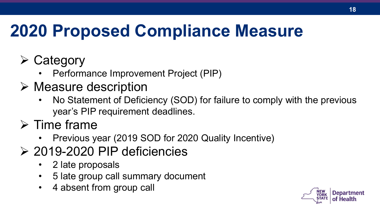# **2020 Proposed Compliance Measure**

- $\triangleright$  Category
	- Performance Improvement Project (PIP)
- $\triangleright$  Measure description
	- No Statement of Deficiency (SOD) for failure to comply with the previous year's PIP requirement deadlines.
- $\triangleright$  Time frame
	- Previous year (2019 SOD for 2020 Quality Incentive)
- 2019-2020 PIP deficiencies 2 late proposals
	-
	- 5 late group call summary document
	- 4 absent from group call

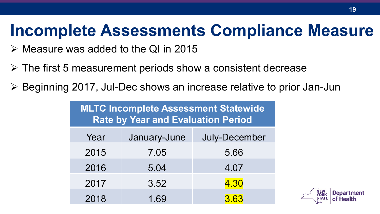### **Incomplete Assessments Compliance Measure**

- $\triangleright$  Measure was added to the QI in 2015
- $\triangleright$  The first 5 measurement periods show a consistent decrease
- Beginning 2017, Jul-Dec shows an increase relative to prior Jan-Jun

**MLTC Incomplete Assessment Statewide Rate by Year and Evaluation Period**

| Year | January-June | July-December |
|------|--------------|---------------|
| 2015 | 7.05         | 5.66          |
| 2016 | 5.04         | 4.07          |
| 2017 | 3.52         | 4.30          |
| 2018 | 1.69         | 3.63          |

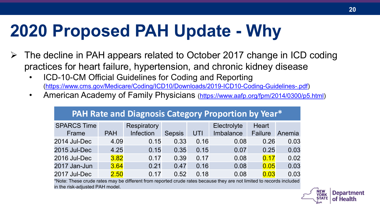### **2020 Proposed PAH Update - Why**

- $\triangleright$  The decline in PAH appears related to October 2017 change in ICD coding practices for heart failure, hypertension, and chronic kidney disease
	- ICD-10-CM Official Guidelines for Coding and Reporting [\(https://www.cms.gov/Medicare/Coding/ICD10/Downloads/2019-ICD10-Coding-Guidelines-.pdf](https://www.cms.gov/Medicare/Coding/ICD10/Downloads/2019-ICD10-Coding-Guidelines-.pdf))
	- American Academy of Family Physicians [\(https://www.aafp.org/fpm/2014/0300/p5.html](https://www.aafp.org/fpm/2014/0300/p5.html))

**PAH Rate and Diagnosis Category Proportion by Year\***

| <b>TATT NUCE UTH DIUSTOSIS CUCSUTY LIOPOLITUM BY TCUL</b> |            |             |               |      |             |         |        |  |  |
|-----------------------------------------------------------|------------|-------------|---------------|------|-------------|---------|--------|--|--|
| <b>SPARCS Time</b>                                        |            | Respiratory |               |      | Electrolyte | Heart   |        |  |  |
| Frame                                                     | <b>PAH</b> | Infection   | <b>Sepsis</b> | UTI  | Imbalance   | Failure | Anemia |  |  |
| 2014 Jul-Dec                                              | 4.09       | 0.15        | 0.33          | 0.16 | 0.08        | 0.26    | 0.03   |  |  |
| 2015 Jul-Dec                                              | 4.25       | 0.15        | 0.35          | 0.15 | 0.07        | 0.25    | 0.03   |  |  |
| 2016 Jul-Dec                                              | 3.82       | 0.17        | 0.39          | 0.17 | 0.08        | 0.17    | 0.02   |  |  |
| 2017 Jan-Jun                                              | 3.64       | 0.21        | 0.47          | 0.16 | 0.08        | 0.05    | 0.03   |  |  |
| 2017 Jul-Dec                                              | 2.50       | 0.17        | 0.52          | 0.18 | 0.08        | 0.03    | 0.03   |  |  |

\*Note: These crude rates may be different from reported crude rates because they are not limited to records included in the risk-adjusted PAH model.

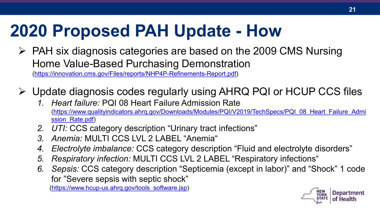### **2020 Proposed PAH Update - How**

- $\triangleright$  PAH six diagnosis categories are based on the 2009 CMS Nursing Home Value-Based Purchasing Demonstration [\(https://innovation.cms.gov/Files/reports/NHP4P-Refinements-Report.pdf\)](https://innovation.cms.gov/Files/reports/NHP4P-Refinements-Report.pdf)
- Update diagnosis codes regularly using AHRQ PQI or HCUP CCS files
	- *1. Heart failure:* PQI 08 Heart Failure Admission Rate [\(https://www.qualityindicators.ahrq.gov/Downloads/Modules/PQI/V2019/TechSpecs/PQI\\_08\\_Heart\\_Failure\\_Admi](https://www.qualityindicators.ahrq.gov/Downloads/Modules/PQI/V2019/TechSpecs/PQI_08_Heart_Failure_Admission_Rate.pdf) ssion Rate.pdf)
	- *2. UTI:* CCS category description "Urinary tract infections"
	- *3. Anemia:* MULTI CCS LVL 2 LABEL "Anemia"
	- *4. Electrolyte imbalance:* CCS category description "Fluid and electrolyte disorders"
	- *5. Respiratory infection:* MULTI CCS LVL 2 LABEL "Respiratory infections"
	- *6. Sepsis:* CCS category description "Septicemia (except in labor)" and "Shock" 1 code for "Severe sepsis with septic shock"

([https://www.hcup-us.ahrq.gov/tools\\_software.jsp](https://www.hcup-us.ahrq.gov/tools_software.jsp))

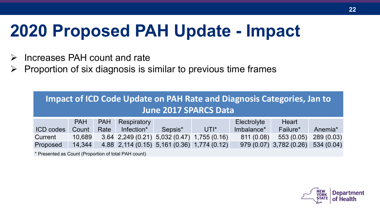### **2020 Proposed PAH Update - Impact**

- $\triangleright$  Increases PAH count and rate
- $\triangleright$  Proportion of six diagnosis is similar to previous time frames

| Impact of ICD Code Update on PAH Rate and Diagnosis Categories, Jan to<br><b>June 2017 SPARCS Data</b> |            |            |             |                                             |                                             |             |                         |                     |  |
|--------------------------------------------------------------------------------------------------------|------------|------------|-------------|---------------------------------------------|---------------------------------------------|-------------|-------------------------|---------------------|--|
|                                                                                                        | <b>PAH</b> | <b>PAH</b> | Respiratory |                                             |                                             | Electrolyte | Heart                   |                     |  |
| ICD codes                                                                                              | Count      | Rate       | Infection*  | Sepsis*                                     | $UTI^*$                                     | Imbalance*  | Failure*                | Anemia <sup>*</sup> |  |
| Current                                                                                                | 10,689     |            |             | 3.64 2,249 (0.21) 5,032 (0.47) 1,755 (0.16) |                                             | 811(0.08)   | 553(0.05)               | 289(0.03)           |  |
| Proposed                                                                                               | 14,344     |            |             |                                             | 4.88 2,114 (0.15) 5,161 (0.36) 1,774 (0.12) |             | 979 (0.07) 3,782 (0.26) | 534(0.04)           |  |

\* Presented as Count (Proportion of total PAH count)

**22**

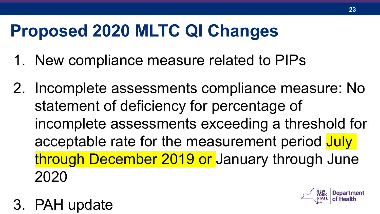# **Proposed 2020 MLTC QI Changes**

- 1. New compliance measure related to PIPs
- 2. Incomplete assessments compliance measure: No statement of deficiency for percentage of incomplete assessments exceeding a threshold for acceptable rate for the measurement period July through December 2019 or January through June 2020
- 3. PAH update

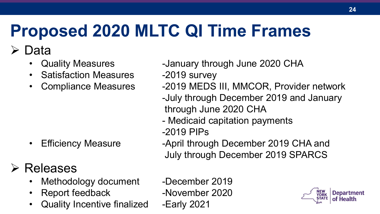# **Proposed 2020 MLTC QI Time Frames**

#### Data

- 
- Satisfaction Measures -2019 survey
- 

#### Releases

- Methodology document -December 2019
- Report feedback -November 2020
- Quality Incentive finalized -Early 2021
- Quality Measures -January through June 2020 CHA
	-
- Compliance Measures -2019 MEDS III, MMCOR, Provider network
	- -July through December 2019 and January through June 2020 CHA
	- Medicaid capitation payments
	- -2019 PIPs
- Efficiency Measure **-April through December 2019 CHA and** July through December 2019 SPARCS
	-

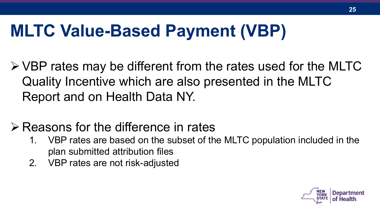### **MLTC Value-Based Payment (VBP)**

VBP rates may be different from the rates used for the MLTC Quality Incentive which are also presented in the MLTC Report and on Health Data NY.

#### $\triangleright$  Reasons for the difference in rates

- 1. VBP rates are based on the subset of the MLTC population included in the plan submitted attribution files
- 2. VBP rates are not risk-adjusted